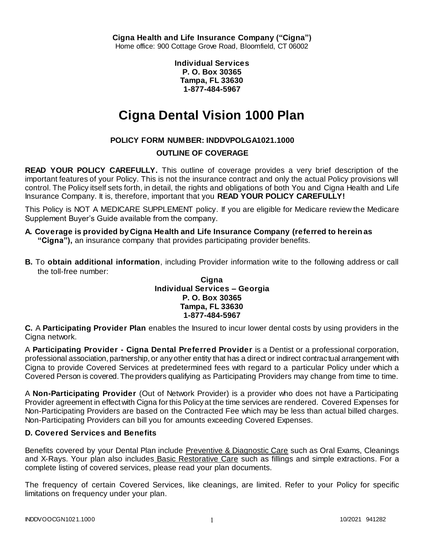**Individual Services P. O. Box 30365 Tampa, FL 33630 1-877-484-5967**

# **Cigna Dental Vision 1000 Plan**

# **POLICY FORM NUMBER: INDDVPOLGA1021.1000**

## **OUTLINE OF COVERAGE**

**READ YOUR POLICY CAREFULLY.** This outline of coverage provides a very brief description of the important features of your Policy. This is not the insurance contract and only the actual Policy provisions will control. The Policy itself sets forth, in detail, the rights and obligations of both You and Cigna Health and Life Insurance Company. It is, therefore, important that you **READ YOUR POLICY CAREFULLY!** 

This Policy is NOT A MEDICARE SUPPLEMENT policy. If you are eligible for Medicare review the Medicare Supplement Buyer's Guide available from the company.

- **A. Coverage is provided by Cigna Health and Life Insurance Company (referred to herein as "Cigna"),** an insurance company that provides participating provider benefits.
- **B.** To **obtain additional information**, including Provider information write to the following address or call the toll-free number:

## **Cigna Individual Services – Georgia P. O. Box 30365 Tampa, FL 33630 1-877-484-5967**

**C.** A **Participating Provider Plan** enables the Insured to incur lower dental costs by using providers in the Cigna network.

A **Participating Provider - Cigna Dental Preferred Provider** is a Dentist or a professional corporation, professional association, partnership, or any other entity that has a direct or indirect contractual arrangement with Cigna to provide Covered Services at predetermined fees with regard to a particular Policy under which a Covered Person is covered. The providers qualifying as Participating Providers may change from time to time.

A **Non-Participating Provider** (Out of Network Provider) is a provider who does not have a Participating Provider agreement in effect with Cigna for this Policy at the time services are rendered. Covered Expenses for Non-Participating Providers are based on the Contracted Fee which may be less than actual billed charges. Non-Participating Providers can bill you for amounts exceeding Covered Expenses.

## **D. Covered Services and Benefits**

Benefits covered by your Dental Plan include Preventive & Diagnostic Care such as Oral Exams, Cleanings and X-Rays. Your plan also includes Basic Restorative Care such as fillings and simple extractions. For a complete listing of covered services, please read your plan documents.

The frequency of certain Covered Services, like cleanings, are limited. Refer to your Policy for specific limitations on frequency under your plan.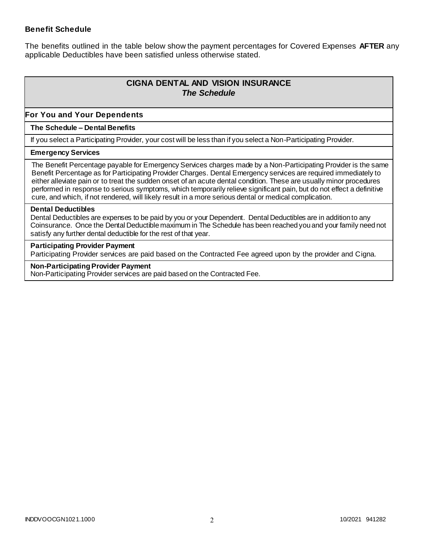## **Benefit Schedule**

The benefits outlined in the table below show the payment percentages for Covered Expenses **AFTER** any applicable Deductibles have been satisfied unless otherwise stated.

# **CIGNA DENTAL AND VISION INSURANCE** *The Schedule*

### **For You and Your Dependents**

#### **The Schedule – Dental Benefits**

If you select a Participating Provider, your cost will be less than if you select a Non-Participating Provider.

#### **Emergency Services**

The Benefit Percentage payable for Emergency Services charges made by a Non-Participating Provider is the same Benefit Percentage as for Participating Provider Charges. Dental Emergency services are required immediately to either alleviate pain or to treat the sudden onset of an acute dental condition. These are usually minor procedures performed in response to serious symptoms, which temporarily relieve significant pain, but do not effect a definitive cure, and which, if not rendered, will likely result in a more serious dental or medical complication.

#### **Dental Deductibles**

Dental Deductibles are expenses to be paid by you or your Dependent. Dental Deductibles are in addition to any Coinsurance. Once the Dental Deductible maximum in The Schedule has been reached you and your family need not satisfy any further dental deductible for the rest of that year.

#### **Participating Provider Payment**

Participating Provider services are paid based on the Contracted Fee agreed upon by the provider and Cigna.

#### **Non-Participating Provider Payment**

Non-Participating Provider services are paid based on the Contracted Fee.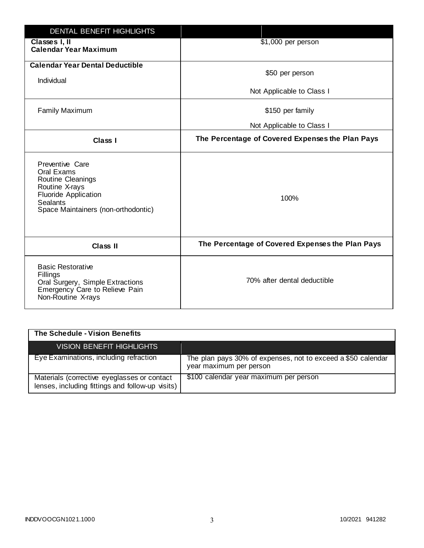| <b>DENTAL BENEFIT HIGHLIGHTS</b>                                                                                                                              |                                                  |
|---------------------------------------------------------------------------------------------------------------------------------------------------------------|--------------------------------------------------|
| Classes I, II<br><b>Calendar Year Maximum</b>                                                                                                                 | \$1,000 per person                               |
| <b>Calendar Year Dental Deductible</b><br>Individual                                                                                                          | \$50 per person                                  |
|                                                                                                                                                               | Not Applicable to Class I                        |
| <b>Family Maximum</b>                                                                                                                                         | \$150 per family                                 |
|                                                                                                                                                               | Not Applicable to Class I                        |
| <b>Class I</b>                                                                                                                                                | The Percentage of Covered Expenses the Plan Pays |
| Preventive Care<br>Oral Exams<br>Routine Cleanings<br>Routine X-rays<br><b>Fluoride Application</b><br><b>Sealants</b><br>Space Maintainers (non-orthodontic) | 100%                                             |
| <b>Class II</b>                                                                                                                                               | The Percentage of Covered Expenses the Plan Pays |
| <b>Basic Restorative</b><br>Fillings<br>Oral Surgery, Simple Extractions<br>Emergency Care to Relieve Pain<br>Non-Routine X-rays                              | 70% after dental deductible                      |

| The Schedule - Vision Benefits                                                                  |                                                                                         |
|-------------------------------------------------------------------------------------------------|-----------------------------------------------------------------------------------------|
| VISION BENEFIT HIGHLIGHTS                                                                       |                                                                                         |
| Eye Examinations, including refraction                                                          | The plan pays 30% of expenses, not to exceed a \$50 calendar<br>year maximum per person |
| Materials (corrective eyeglasses or contact<br>lenses, including fittings and follow-up visits) | \$100 calendar year maximum per person                                                  |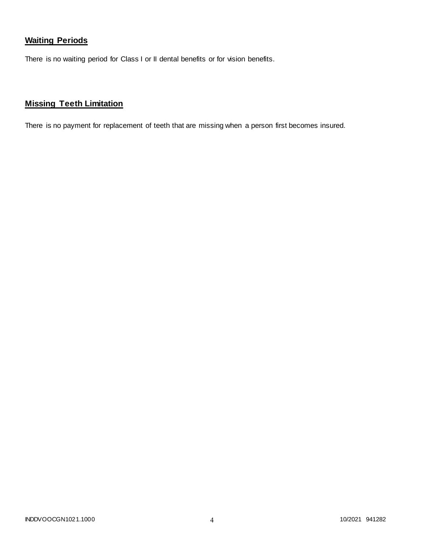# **Waiting Periods**

There is no waiting period for Class I or II dental benefits or for vision benefits.

# **Missing Teeth Limitation**

There is no payment for replacement of teeth that are missing when a person first becomes insured.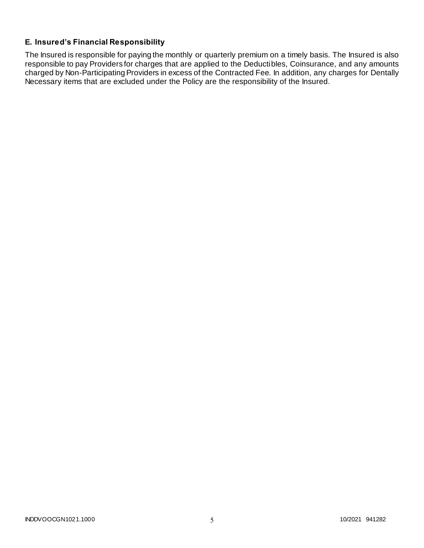# **E. Insured's Financial Responsibility**

The Insured is responsible for paying the monthly or quarterly premium on a timely basis. The Insured is also responsible to pay Providers for charges that are applied to the Deductibles, Coinsurance, and any amounts charged by Non-Participating Providers in excess of the Contracted Fee. In addition, any charges for Dentally Necessary items that are excluded under the Policy are the responsibility of the Insured.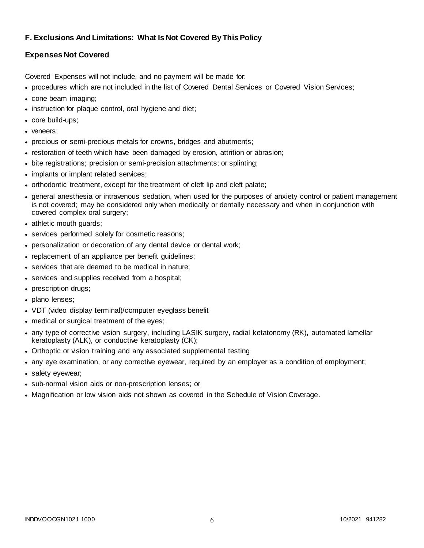## **F. Exclusions And Limitations: What Is Not Covered By This Policy**

## **Expenses Not Covered**

Covered Expenses will not include, and no payment will be made for:

- procedures which are not included in the list of Covered Dental Services or Covered Vision Services;
- cone beam imaging;
- instruction for plaque control, oral hygiene and diet;
- core build-ups;
- veneers:
- precious or semi-precious metals for crowns, bridges and abutments;
- restoration of teeth which have been damaged by erosion, attrition or abrasion;
- bite registrations; precision or semi-precision attachments; or splinting;
- implants or implant related services;
- orthodontic treatment, except for the treatment of cleft lip and cleft palate;
- general anesthesia or intravenous sedation, when used for the purposes of anxiety control or patient management is not covered; may be considered only when medically or dentally necessary and when in conjunction with covered complex oral surgery;
- athletic mouth guards;
- services performed solely for cosmetic reasons;
- personalization or decoration of any dental device or dental work;
- replacement of an appliance per benefit guidelines;
- services that are deemed to be medical in nature;
- services and supplies received from a hospital;
- prescription drugs;
- plano lenses;
- VDT (video display terminal)/computer eyeglass benefit
- medical or surgical treatment of the eyes;
- any type of corrective vision surgery, including LASIK surgery, radial ketatonomy (RK), automated lamellar keratoplasty (ALK), or conductive keratoplasty (CK);
- Orthoptic or vision training and any associated supplemental testing
- any eye examination, or any corrective eyewear, required by an employer as a condition of employment;
- safety eyewear;
- sub-normal vision aids or non-prescription lenses; or
- Magnification or low vision aids not shown as covered in the Schedule of Vision Coverage.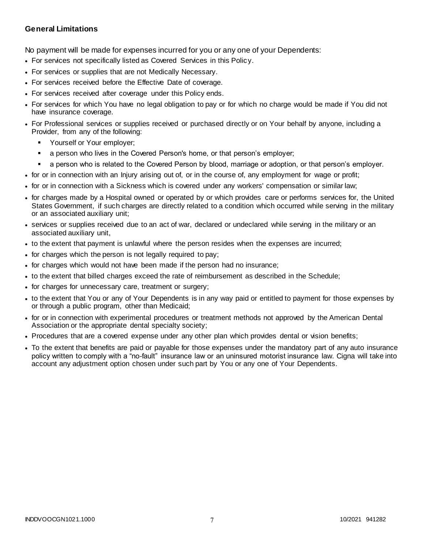## **General Limitations**

No payment will be made for expenses incurred for you or any one of your Dependents:

- For services not specifically listed as Covered Services in this Policy.
- For services or supplies that are not Medically Necessary.
- For services received before the Effective Date of coverage.
- For services received after coverage under this Policy ends.
- For services for which You have no legal obligation to pay or for which no charge would be made if You did not have insurance coverage.
- For Professional services or supplies received or purchased directly or on Your behalf by anyone, including a Provider, from any of the following:
	- Yourself or Your employer;
	- a person who lives in the Covered Person's home, or that person's employer;
	- a person who is related to the Covered Person by blood, marriage or adoption, or that person's employer.
- for or in connection with an Injury arising out of, or in the course of, any employment for wage or profit;
- for or in connection with a Sickness which is covered under any workers' compensation or similar law;
- for charges made by a Hospital owned or operated by or which provides care or performs services for, the United States Government, if such charges are directly related to a condition which occurred while serving in the military or an associated auxiliary unit;
- services or supplies received due to an act of war, declared or undeclared while serving in the military or an associated auxiliary unit,
- to the extent that payment is unlawful where the person resides when the expenses are incurred;
- for charges which the person is not legally required to pay;
- for charges which would not have been made if the person had no insurance;
- to the extent that billed charges exceed the rate of reimbursement as described in the Schedule;
- for charges for unnecessary care, treatment or surgery;
- to the extent that You or any of Your Dependents is in any way paid or entitled to payment for those expenses by or through a public program, other than Medicaid;
- for or in connection with experimental procedures or treatment methods not approved by the American Dental Association or the appropriate dental specialty society;
- Procedures that are a covered expense under any other plan which provides dental or vision benefits;
- To the extent that benefits are paid or payable for those expenses under the mandatory part of any auto insurance policy written to comply with a "no-fault" insurance law or an uninsured motorist insurance law. Cigna will take into account any adjustment option chosen under such part by You or any one of Your Dependents.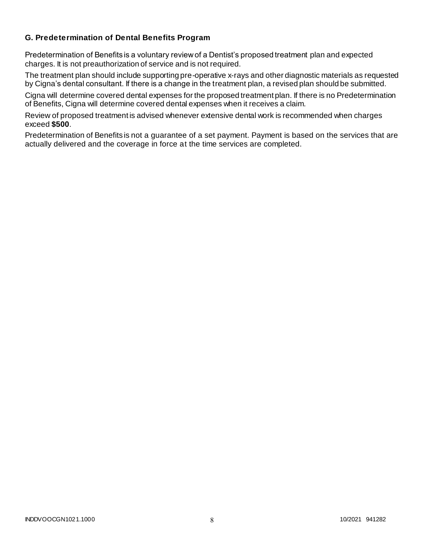## **G. Predetermination of Dental Benefits Program**

Predetermination of Benefits is a voluntary review of a Dentist's proposed treatment plan and expected charges. It is not preauthorization of service and is not required.

The treatment plan should include supporting pre-operative x-rays and other diagnostic materials as requested by Cigna's dental consultant. If there is a change in the treatment plan, a revised plan should be submitted.

Cigna will determine covered dental expenses for the proposed treatment plan. If there is no Predetermination of Benefits, Cigna will determine covered dental expenses when it receives a claim.

Review of proposed treatment is advised whenever extensive dental work is recommended when charges exceed **\$500**.

Predetermination of Benefits is not a guarantee of a set payment. Payment is based on the services that are actually delivered and the coverage in force at the time services are completed.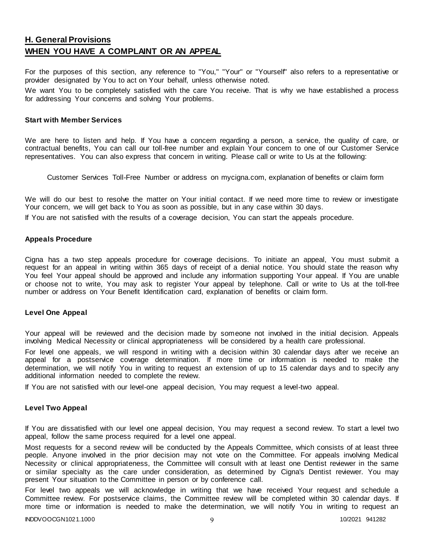# **H. General Provisions WHEN YOU HAVE A COMPLAINT OR AN APPEAL**

For the purposes of this section, any reference to "You," "Your" or "Yourself" also refers to a representative or provider designated by You to act on Your behalf, unless otherwise noted.

We want You to be completely satisfied with the care You receive. That is why we have established a process for addressing Your concerns and solving Your problems.

#### **Start with Member Services**

We are here to listen and help. If You have a concern regarding a person, a service, the quality of care, or contractual benefits, You can call our toll-free number and explain Your concern to one of our Customer Service representatives. You can also express that concern in writing. Please call or write to Us at the following:

Customer Services Toll-Free Number or address on mycigna.com, explanation of benefits or claim form

We will do our best to resolve the matter on Your initial contact. If we need more time to review or investigate Your concern, we will get back to You as soon as possible, but in any case within 30 days.

If You are not satisfied with the results of a coverage decision, You can start the appeals procedure.

#### **Appeals Procedure**

Cigna has a two step appeals procedure for coverage decisions. To initiate an appeal, You must submit a request for an appeal in writing within 365 days of receipt of a denial notice. You should state the reason why You feel Your appeal should be approved and include any information supporting Your appeal. If You are unable or choose not to write, You may ask to register Your appeal by telephone. Call or write to Us at the toll-free number or address on Your Benefit Identification card, explanation of benefits or claim form.

#### **Level One Appeal**

Your appeal will be reviewed and the decision made by someone not involved in the initial decision. Appeals involving Medical Necessity or clinical appropriateness will be considered by a health care professional.

For level one appeals, we will respond in writing with a decision within 30 calendar days after we receive an appeal for a postservice coverage determination. If more time or information is needed to make the determination, we will notify You in writing to request an extension of up to 15 calendar days and to specify any additional information needed to complete the review.

If You are not satisfied with our level-one appeal decision, You may request a level-two appeal.

#### **Level Two Appeal**

If You are dissatisfied with our level one appeal decision, You may request a second review. To start a level two appeal, follow the same process required for a level one appeal.

Most requests for a second review will be conducted by the Appeals Committee, which consists of at least three people. Anyone involved in the prior decision may not vote on the Committee. For appeals involving Medical Necessity or clinical appropriateness, the Committee will consult with at least one Dentist reviewer in the same or similar specialty as the care under consideration, as determined by Cigna's Dentist reviewer. You may present Your situation to the Committee in person or by conference call.

For level two appeals we will acknowledge in writing that we have received Your request and schedule a Committee review. For postservice claims, the Committee review will be completed within 30 calendar days. If more time or information is needed to make the determination, we will notify You in writing to request an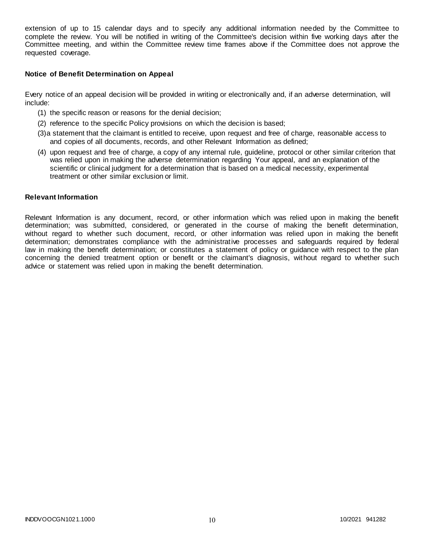extension of up to 15 calendar days and to specify any additional information needed by the Committee to complete the review. You will be notified in writing of the Committee's decision within five working days after the Committee meeting, and within the Committee review time frames above if the Committee does not approve the requested coverage.

#### **Notice of Benefit Determination on Appeal**

Every notice of an appeal decision will be provided in writing or electronically and, if an adverse determination, will include:

- (1) the specific reason or reasons for the denial decision;
- (2) reference to the specific Policy provisions on which the decision is based;
- (3)a statement that the claimant is entitled to receive, upon request and free of charge, reasonable access to and copies of all documents, records, and other Relevant Information as defined;
- (4) upon request and free of charge, a copy of any internal rule, guideline, protocol or other similar criterion that was relied upon in making the adverse determination regarding Your appeal, and an explanation of the scientific or clinical judgment for a determination that is based on a medical necessity, experimental treatment or other similar exclusion or limit.

#### **Relevant Information**

Relevant Information is any document, record, or other information which was relied upon in making the benefit determination; was submitted, considered, or generated in the course of making the benefit determination, without regard to whether such document, record, or other information was relied upon in making the benefit determination; demonstrates compliance with the administrative processes and safeguards required by federal law in making the benefit determination; or constitutes a statement of policy or guidance with respect to the plan concerning the denied treatment option or benefit or the claimant's diagnosis, without regard to whether such advice or statement was relied upon in making the benefit determination.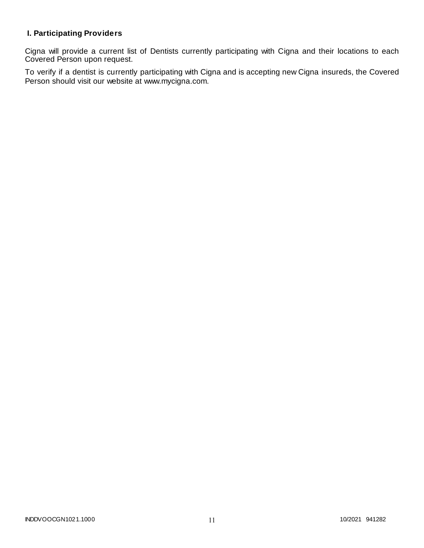## **I. Participating Providers**

Cigna will provide a current list of Dentists currently participating with Cigna and their locations to each Covered Person upon request.

To verify if a dentist is currently participating with Cigna and is accepting new Cigna insureds, the Covered Person should visit our website at www.mycigna.com.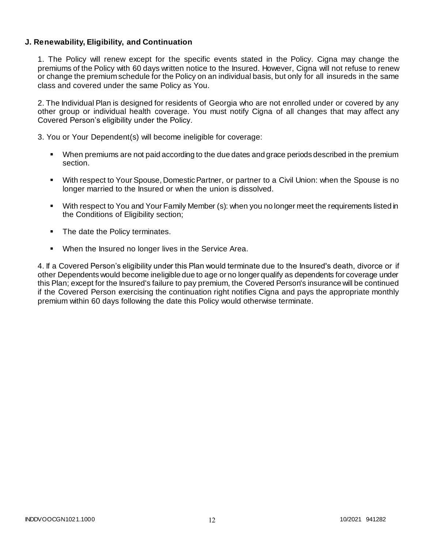## **J. Renewability, Eligibility, and Continuation**

1. The Policy will renew except for the specific events stated in the Policy. Cigna may change the premiums of the Policy with 60 days written notice to the Insured. However, Cigna will not refuse to renew or change the premium schedule for the Policy on an individual basis, but only for all insureds in the same class and covered under the same Policy as You.

2. The Individual Plan is designed for residents of Georgia who are not enrolled under or covered by any other group or individual health coverage. You must notify Cigna of all changes that may affect any Covered Person's eligibility under the Policy.

3. You or Your Dependent(s) will become ineligible for coverage:

- When premiums are not paid according to the due dates and grace periods described in the premium section.
- With respect to Your Spouse, Domestic Partner, or partner to a Civil Union: when the Spouse is no longer married to the Insured or when the union is dissolved.
- With respect to You and Your Family Member (s): when you no longer meet the requirements listed in the Conditions of Eligibility section;
- The date the Policy terminates.
- **When the Insured no longer lives in the Service Area.**

4. If a Covered Person's eligibility under this Plan would terminate due to the Insured's death, divorce or if other Dependents would become ineligible due to age or no longer qualify as dependents for coverage under this Plan; except for the Insured's failure to pay premium, the Covered Person's insurance will be continued if the Covered Person exercising the continuation right notifies Cigna and pays the appropriate monthly premium within 60 days following the date this Policy would otherwise terminate.